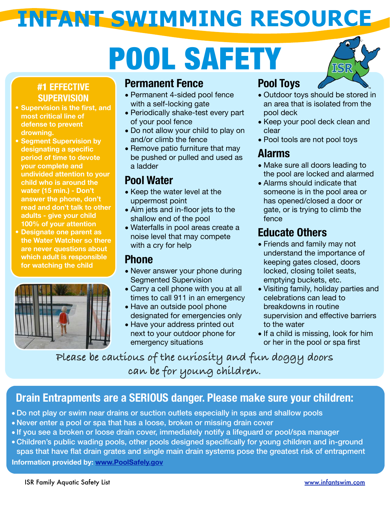# POOL SAFETY



#### #1 **EFFECTIVE SUPERVISION**

- **• Supervision is the first, and most critical line of defense to prevent drowning.**
- **• Segment Supervision by designating a specific period of time to devote your complete and undivided attention to your child who is around the water (15 min.) - Don't answer the phone, don't read and don't talk to other adults - give your child 100% of your attention**
- **• Designate one parent as the Water Watcher so there are never questions about which adult is responsible for watching the child**



#### **Permanent Fence**

- Permanent 4-sided pool fence with a self-locking gate
- Periodically shake-test every part of your pool fence
- Do not allow your child to play on and/or climb the fence
- Remove patio furniture that may be pushed or pulled and used as a ladder

#### **Pool Water**

- Keep the water level at the uppermost point
- Aim jets and in-floor jets to the shallow end of the pool
- Waterfalls in pool areas create a noise level that may compete with a cry for help

#### **Phone**

- Never answer your phone during Segmented Supervision
- Carry a cell phone with you at all times to call 911 in an emergency
- Have an outside pool phone designated for emergencies only
- Have your address printed out next to your outdoor phone for emergency situations

#### **Pool Toys**

- Outdoor toys should be stored in an area that is isolated from the pool deck
- Keep your pool deck clean and clear
- Pool tools are not pool toys

#### **Alarms**

- Make sure all doors leading to the pool are locked and alarmed
- Alarms should indicate that someone is in the pool area or has opened/closed a door or gate, or is trying to climb the fence

#### **Educate Others**

- Friends and family may not understand the importance of keeping gates closed, doors locked, closing toilet seats, emptying buckets, etc.
- Visiting family, holiday parties and celebrations can lead to breakdowns in routine supervision and effective barriers to the water
- If a child is missing, look for him or her in the pool or spa first

**Please be cautious of the curiosity and fun doggy doors can be for young children.**

#### **Drain Entrapments are a SERIOUS danger. Please make sure your children:**

- Do not play or swim near drains or suction outlets especially in spas and shallow pools
- Never enter a pool or spa that has a loose, broken or missing drain cover
- If you see a broken or loose drain cover, immediately notify a lifeguard or pool/spa manager
- Children's public wading pools, other pools designed specifically for young children and in-ground spas that have flat drain grates and single main drain systems pose the greatest risk of entrapment

**Information provided by: [www.PoolSafely.gov](http://www.PoolSafely.gov)**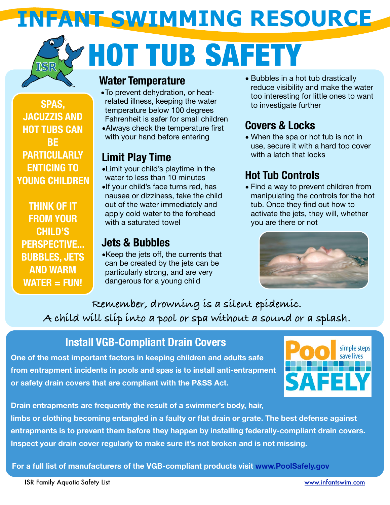# HOT TUB SAFETY

**SPAS, JACUZZIS AND HOT TUBS CAN BE PARTICULARLY ENTICING TO YOUNG CHILDREN** 

**THINK OF IT FROM YOUR CHILD'S PERSPECTIVE... BUBBLES, JETS AND WARM WATER = FUN!**

#### **Water Temperature**

- •To prevent dehydration, or heatrelated illness, keeping the water temperature below 100 degrees Fahrenheit is safer for small children
- •Always check the temperature first with your hand before entering

#### **Limit Play Time**

- •Limit your child's playtime in the water to less than 10 minutes
- •If your child's face turns red, has nausea or dizziness, take the child out of the water immediately and apply cold water to the forehead with a saturated towel

#### **Jets & Bubbles**

•Keep the jets off, the currents that can be created by the jets can be particularly strong, and are very dangerous for a young child

• Bubbles in a hot tub drastically reduce visibility and make the water too interesting for little ones to want to investigate further

#### **Covers & Locks**

• When the spa or hot tub is not in use, secure it with a hard top cover with a latch that locks

### **Hot Tub Controls**

• Find a way to prevent children from manipulating the controls for the hot tub. Once they find out how to activate the jets, they will, whether you are there or not



**Remember, drowning is a silent epidemic. A child will slip into a pool or spa without a sound or a splash.**

### **Install VGB-Compliant Drain Covers**

**One of the most important factors in keeping children and adults safe from entrapment incidents in pools and spas is to install anti-entrapment or safety drain covers that are compliant with the P&SS Act.** 



**Drain entrapments are frequently the result of a swimmer's body, hair,** 

**limbs or clothing becoming entangled in a faulty or flat drain or grate. The best defense against entrapments is to prevent them before they happen by installing federally-compliant drain covers. Inspect your drain cover regularly to make sure it's not broken and is not missing.**

**For a full list of manufacturers of the VGB-compliant products visit [www.PoolSafely.gov](http://www.PoolSafely.gov)**

ISR Family Aquatic Safety List [www.infantswim.com](http://www.infantswim.com)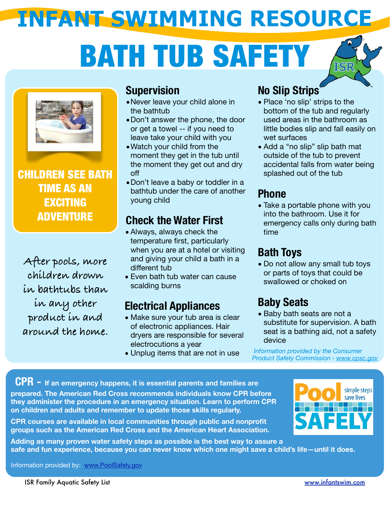## BATH TUB SAFETY





CHILDREN SEE BATH TIME AS AN EXCITING ADVENTURE

**After pools, more children drown in bathtubs than in any other product in and around the home.**

#### **Supervision**

- •Never leave your child alone in the bathtub
- •Don't answer the phone, the door or get a towel -- if you need to leave take your child with you
- •Watch your child from the moment they get in the tub until the moment they get out and dry off
- •Don't leave a baby or toddler in a bathtub under the care of another young child

### **Check the Water First**

- Always, always check the temperature first, particularly when you are at a hotel or visiting and giving your child a bath in a different tub
- Even bath tub water can cause scalding burns

### **Electrical Appliances**

- Make sure your tub area is clear of electronic appliances. Hair dryers are responsible for several electrocutions a year
- Unplug items that are not in use

### **No Slip Strips**

- Place 'no slip' strips to the bottom of the tub and regularly used areas in the bathroom as little bodies slip and fall easily on wet surfaces
- Add a "no slip" slip bath mat outside of the tub to prevent accidental falls from water being splashed out of the tub

#### **Phone**

• Take a portable phone with you into the bathroom. Use it for emergency calls only during bath time

### **Bath Toys**

• Do not allow any small tub toys or parts of toys that could be swallowed or choked on

## **Baby Seats**

• Baby bath seats are not a substitute for supervision. A bath seat is a bathing aid, not a safety device

 *Information provided by the Consumer Product Safety Commission - [www.cpsc.gov](http://www.cpsc.gov)*

prepared. The American Red Cross recommends individuals know CPR betore<br>they administer the procedure in an emergency situation. Learn to perform CPR on children and adults and remember to update those skills regularl<mark>y.</mark> **CPR - If an emergency happens, it is essential parents and families are prepared. The American Red Cross recommends individuals know CPR before** 

**CPR courses are available in local communities through public and nonprofit groups such as the American Red Cross and the American Heart Association.** 



**Adding as many proven water safety steps as possible is the best way to assure a safe and fun experience, because you can never know which one might save a child's life—until it does.** 

Information provided by: [www.PoolSafely.gov](http://www.PoolSafely.gov)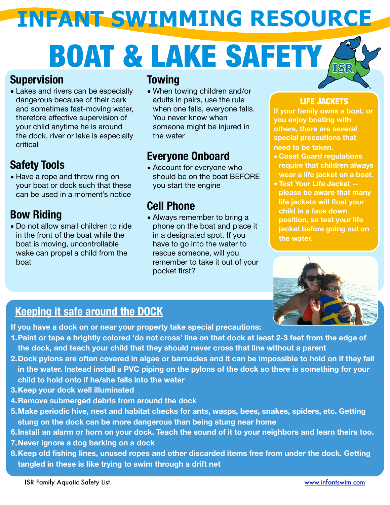# BOAT & LAKE SAFETY

#### **Supervision**

• Lakes and rivers can be especially dangerous because of their dark and sometimes fast-moving water, therefore effective supervision of your child anytime he is around the dock, river or lake is especially critical

### **Safety Tools**

• Have a rope and throw ring on your boat or dock such that these can be used in a moment's notice

### **Bow Riding**

• Do not allow small children to ride in the front of the boat while the boat is moving, uncontrollable wake can propel a child from the boat

#### **Towing**

• When towing children and/or adults in pairs, use the rule when one falls, everyone falls. You never know when someone might be injured in the water

### **Everyone Onboard**

• Account for everyone who should be on the boat BEFORE you start the engine

#### **Cell Phone**

• Always remember to bring a phone on the boat and place it in a designated spot. If you have to go into the water to rescue someone, will you remember to take it out of your pocket first?

#### LIFE JACKETS

**If your family owns a boat, or you enjoy boating with others, there are several special precautions that need to be taken.**

- **• Coast Guard regulations require that children always wear a life jacket on a boat.**
- **• Test Your Life Jacket please be aware that many life jackets will float your child in a face down position, so test your life jacket before going out on the water.**



#### **Keeping it safe around the DOCK**

**If you have a dock on or near your property take special precautions:**

- **1.Paint or tape a brightly colored 'do not cross' line on that dock at least 2-3 feet from the edge of the dock, and teach your child that they should never cross that line without a parent**
- **2.Dock pylons are often covered in algae or barnacles and it can be impossible to hold on if they fall in the water. Instead install a PVC piping on the pylons of the dock so there is something for your child to hold onto if he/she falls into the water**
- **3.Keep your dock well illuminated**
- **4.Remove submerged debris from around the dock**
- **5.Make periodic hive, nest and habitat checks for ants, wasps, bees, snakes, spiders, etc. Getting stung on the dock can be more dangerous than being stung near home**
- **6.Install an alarm or horn on your dock. Teach the sound of it to your neighbors and learn theirs too.**
- **7.Never ignore a dog barking on a dock**
- **8.Keep old fishing lines, unused ropes and other discarded items free from under the dock. Getting tangled in these is like trying to swim through a drift net**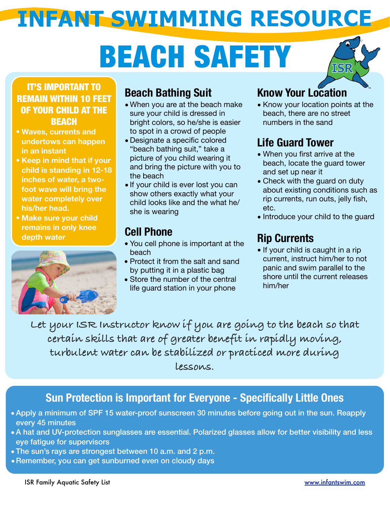# BEACH SAFETY



#### IT'S IMPORTANT TO REMAIN WITHIN 10 FEET OF YOUR CHILD AT THE **BEACH**

- **• Waves, currents and undertows can happen in an instant**
- **• Keep in mind that if your child is standing in 12-18 inches of water, a twofoot wave will bring the water completely over his/her head.**
- **• Make sure your child remains in only knee depth water**



### **Beach Bathing Suit**

- When you are at the beach make sure your child is dressed in bright colors, so he/she is easier to spot in a crowd of people
- Designate a specific colored "beach bathing suit," take a picture of you child wearing it and bring the picture with you to the beach
- If your child is ever lost you can show others exactly what your child looks like and the what he/ she is wearing

#### **Cell Phone**

- You cell phone is important at the beach
- Protect it from the salt and sand by putting it in a plastic bag
- Store the number of the central life guard station in your phone

## **Know Your Location**

• Know your location points at the beach, there are no street numbers in the sand

## **Life Guard Tower**

- When you first arrive at the beach, locate the guard tower and set up near it
- Check with the guard on duty about existing conditions such as rip currents, run outs, jelly fish, etc.
- Introduce your child to the guard

### **Rip Currents**

- If your child is caught in a rip current, instruct him/her to not panic and swim parallel to the shore until the current releases him/her
- **Let your ISR Instructor know if you are going to the beach so that certain skills that are of greater benefit in rapidly moving, turbulent water can be stabilized or practiced more during lessons.**

#### **Sun Protection is Important for Everyone - Specifically Little Ones**

- Apply a minimum of SPF 15 water-proof sunscreen 30 minutes before going out in the sun. Reapply every 45 minutes
- A hat and UV-protection sunglasses are essential. Polarized glasses allow for better visibility and less eye fatigue for supervisors
- The sun's rays are strongest between 10 a.m. and 2 p.m.
- •Remember, you can get sunburned even on cloudy days